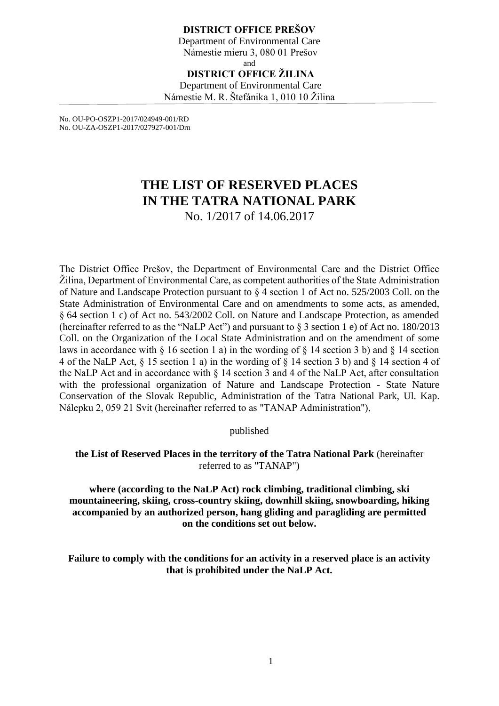#### **DISTRICT OFFICE PREŠOV** Department of Environmental Care Námestie mieru 3, 080 01 Prešov and **DISTRICT OFFICE ŽILINA** Department of Environmental Care Námestie M. R. Štefánika 1, 010 10 Žilina

No. OU-PO-OSZP1-2017/024949-001/RD No. OU-ZA-OSZP1-2017/027927-001/Drn

# **THE LIST OF RESERVED PLACES IN THE TATRA NATIONAL PARK** No. 1/2017 of 14.06.2017

The District Office Prešov, the Department of Environmental Care and the District Office Žilina, Department of Environmental Care, as competent authorities of the State Administration of Nature and Landscape Protection pursuant to § 4 section 1 of Act no. 525/2003 Coll. on the State Administration of Environmental Care and on amendments to some acts, as amended, § 64 section 1 c) of Act no. 543/2002 Coll. on Nature and Landscape Protection, as amended (hereinafter referred to as the "NaLP Act") and pursuant to § 3 section 1 e) of Act no. 180/2013 Coll. on the Organization of the Local State Administration and on the amendment of some laws in accordance with  $\S$  16 section 1 a) in the wording of  $\S$  14 section 3 b) and  $\S$  14 section 4 of the NaLP Act, § 15 section 1 a) in the wording of § 14 section 3 b) and § 14 section 4 of the NaLP Act and in accordance with § 14 section 3 and 4 of the NaLP Act, after consultation with the professional organization of Nature and Landscape Protection - State Nature Conservation of the Slovak Republic, Administration of the Tatra National Park, Ul. Kap. Nálepku 2, 059 21 Svit (hereinafter referred to as "TANAP Administration"),

published

**the List of Reserved Places in the territory of the Tatra National Park** (hereinafter referred to as "TANAP")

**where (according to the NaLP Act) rock climbing, traditional climbing, ski mountaineering, skiing, cross-country skiing, downhill skiing, snowboarding, hiking accompanied by an authorized person, hang gliding and paragliding are permitted on the conditions set out below.**

**Failure to comply with the conditions for an activity in a reserved place is an activity that is prohibited under the NaLP Act.**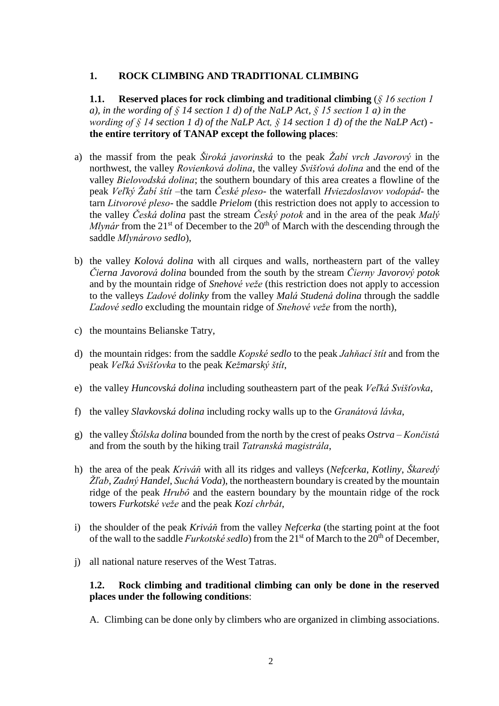#### **1. ROCK CLIMBING AND TRADITIONAL CLIMBING**

**1.1. Reserved places for rock climbing and traditional climbing** (*§ 16 section 1 a), in the wording of § 14 section 1 d) of the NaLP Act, § 15 section 1 a) in the wording of § 14 section 1 d) of the NaLP Act, § 14 section 1 d) of the the NaLP Act*) **the entire territory of TANAP except the following places**:

- a) the massif from the peak *Široká javorinská* to the peak *Žabí vrch Javorový* in the northwest, the valley *Rovienková dolina*, the valley *Svišťová dolina* and the end of the valley *Bielovodská dolina*; the southern boundary of this area creates a flowline of the peak *Veľký Žabí štít* –the tarn *České pleso*- the waterfall *Hviezdoslavov vodopád*- the tarn *Litvorové pleso*- the saddle *Prielom* (this restriction does not apply to accession to the valley *Česká dolina* past the stream *Český potok* and in the area of the peak *Malý Mlynár* from the 21<sup>st</sup> of December to the 20<sup>th</sup> of March with the descending through the saddle *Mlynárovo sedlo*),
- b) the valley *Kolová dolina* with all cirques and walls, northeastern part of the valley *Čierna Javorová dolina* bounded from the south by the stream *Čierny Javorový potok* and by the mountain ridge of *Snehové veže* (this restriction does not apply to accession to the valleys *Ľadové dolinky* from the valley *Malá Studená dolina* through the saddle *Ľadové sedlo* excluding the mountain ridge of *Snehové veže* from the north),
- c) the mountains Belianske Tatry,
- d) the mountain ridges: from the saddle *Kopské sedlo* to the peak *Jahňací štít* and from the peak *Veľká Svišťovka* to the peak *Kežmarský štít*,
- e) the valley *Huncovská dolina* including southeastern part of the peak *Veľká Svišťovka*,
- f) the valley *Slavkovská dolina* including rocky walls up to the *Granátová lávka*,
- g) the valley *Štôlska dolina* bounded from the north by the crest of peaks *Ostrva Končistá* and from the south by the hiking trail *Tatranská magistrála*,
- h) the area of the peak *Kriváň* with all its ridges and valleys (*Nefcerka*, *Kotliny*, *Škaredý Žľab*, *Zadný Handel*, *Suchá Voda*), the northeastern boundary is created by the mountain ridge of the peak *Hrubô* and the eastern boundary by the mountain ridge of the rock towers *Furkotské veže* and the peak *Kozí chrbát*,
- i) the shoulder of the peak *Kriváň* from the valley *Nefcerka* (the starting point at the foot of the wall to the saddle *Furkotské sedlo*) from the 21<sup>st</sup> of March to the 20<sup>th</sup> of December,
- j) all national nature reserves of the West Tatras.

#### **1.2. Rock climbing and traditional climbing can only be done in the reserved places under the following conditions**:

A. Climbing can be done only by climbers who are organized in climbing associations.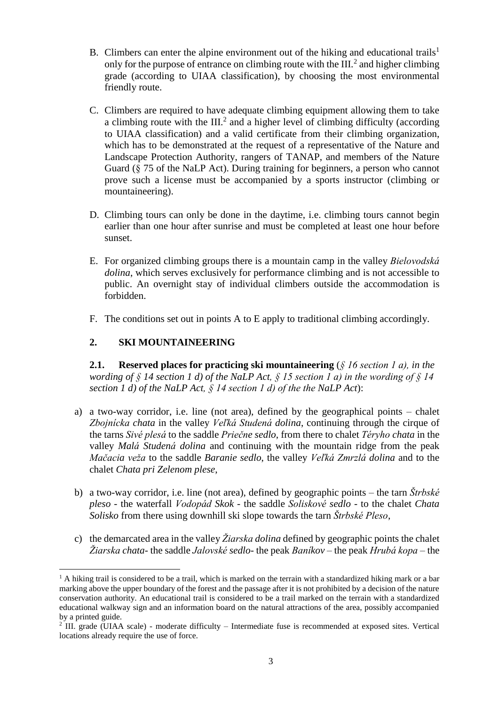- B. Climbers can enter the alpine environment out of the hiking and educational trails<sup>1</sup> only for the purpose of entrance on climbing route with the III. $<sup>2</sup>$  and higher climbing</sup> grade (according to UIAA classification), by choosing the most environmental friendly route.
- C. Climbers are required to have adequate climbing equipment allowing them to take a climbing route with the  $III.^2$  and a higher level of climbing difficulty (according to UIAA classification) and a valid certificate from their climbing organization, which has to be demonstrated at the request of a representative of the Nature and Landscape Protection Authority, rangers of TANAP, and members of the Nature Guard (§ 75 of the NaLP Act). During training for beginners, a person who cannot prove such a license must be accompanied by a sports instructor (climbing or mountaineering).
- D. Climbing tours can only be done in the daytime, i.e. climbing tours cannot begin earlier than one hour after sunrise and must be completed at least one hour before sunset.
- E. For organized climbing groups there is a mountain camp in the valley *Bielovodská dolina*, which serves exclusively for performance climbing and is not accessible to public. An overnight stay of individual climbers outside the accommodation is forbidden.
- F. The conditions set out in points A to E apply to traditional climbing accordingly.

## **2. SKI MOUNTAINEERING**

<u>.</u>

**2.1. Reserved places for practicing ski mountaineering** (*§ 16 section 1 a), in the wording of § 14 section 1 d) of the NaLP Act, § 15 section 1 a) in the wording of § 14 section 1 d) of the NaLP Act, § 14 section 1 d) of the the NaLP Act*):

- a) a two-way corridor, i.e. line (not area), defined by the geographical points chalet *Zbojnícka chata* in the valley *Veľká Studená dolina*, continuing through the cirque of the tarns *Sivé plesá* to the saddle *Priečne sedlo*, from there to chalet *Téryho chata* in the valley *Malá Studená dolina* and continuing with the mountain ridge from the peak *Mačacia veža* to the saddle *Baranie sedlo*, the valley *Veľká Zmrzlá dolina* and to the chalet *Chata pri Zelenom plese*,
- b) a two-way corridor, i.e. line (not area), defined by geographic points the tarn *Štrbské pleso* - the waterfall *Vodopád Skok* - the saddle *Soliskové sedlo* - to the chalet *Chata Solisko* from there using downhill ski slope towards the tarn *Štrbské Pleso*,
- c) the demarcated area in the valley *Žiarska dolina* defined by geographic points the chalet *Žiarska chata*- the saddle *Jalovské sedlo*- the peak *Baníkov* – the peak *Hrubá kopa* – the

 $<sup>1</sup>$  A hiking trail is considered to be a trail, which is marked on the terrain with a standardized hiking mark or a bar</sup> marking above the upper boundary of the forest and the passage after it is not prohibited by a decision of the nature conservation authority. An educational trail is considered to be a trail marked on the terrain with a standardized educational walkway sign and an information board on the natural attractions of the area, possibly accompanied by a printed guide.

<sup>&</sup>lt;sup>2</sup> III. grade (UIAA scale) - moderate difficulty – Intermediate fuse is recommended at exposed sites. Vertical locations already require the use of force.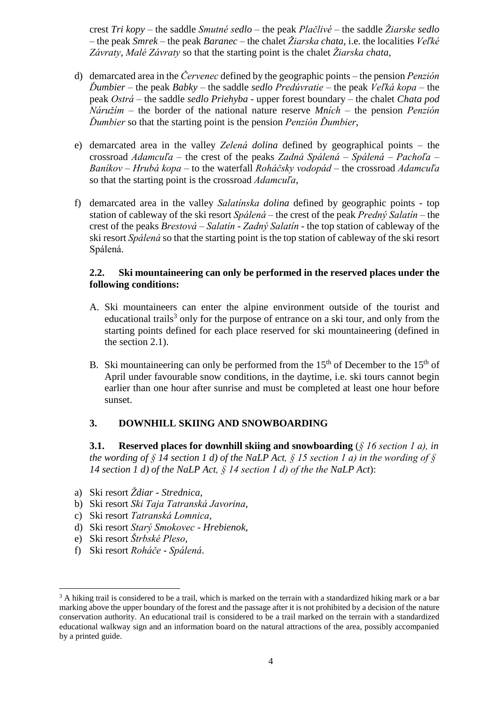crest *Tri kopy* – the saddle *Smutné sedlo* – the peak *Plačlivé* – the saddle *Žiarske sedlo* – the peak *Smrek* – the peak *Baranec* – the chalet *Žiarska chata*, i.e. the localities *Veľké Závraty*, *Malé Závraty* so that the starting point is the chalet *Žiarska chata*,

- d) demarcated area in the *Červenec* defined by the geographic points the pension *Penzión Ďumbier* – the peak *Babky* – the saddle *sedlo Predúvratie* – the peak *Veľká kopa* – the peak *Ostrá* – the saddle *sedlo Priehyba* - upper forest boundary – the chalet *Chata pod Náružím* – the border of the national nature reserve *Mních* – the pension *Penzión Ďumbier* so that the starting point is the pension *Penzión Ďumbier*,
- e) demarcated area in the valley *Zelená dolina* defined by geographical points the crossroad *Adamcuľa* – the crest of the peaks *Zadná Spálená* – *Spálená* – *Pachoľa* – *Baníkov* – *Hrubá kopa* – to the waterfall *Roháčsky vodopád* – the crossroad *Adamcuľa* so that the starting point is the crossroad *Adamcuľa*,
- f) demarcated area in the valley *Salatínska dolina* defined by geographic points top station of cableway of the ski resort *Spálená* – the crest of the peak *Predný Salatín* – the crest of the peaks *Brestová* – *Salatín* - *Zadný Salatín* - the top station of cableway of the ski resort *Spálená* so that the starting point is the top station of cableway of the ski resort Spálená.

### **2.2. Ski mountaineering can only be performed in the reserved places under the following conditions:**

- A. Ski mountaineers can enter the alpine environment outside of the tourist and educational trails<sup>3</sup> only for the purpose of entrance on a ski tour, and only from the starting points defined for each place reserved for ski mountaineering (defined in the section 2.1).
- B. Ski mountaineering can only be performed from the  $15<sup>th</sup>$  of December to the  $15<sup>th</sup>$  of April under favourable snow conditions, in the daytime, i.e. ski tours cannot begin earlier than one hour after sunrise and must be completed at least one hour before sunset.

## **3. DOWNHILL SKIING AND SNOWBOARDING**

**3.1. Reserved places for downhill skiing and snowboarding** (*§ 16 section 1 a), in the wording of § 14 section 1 d) of the NaLP Act, § 15 section 1 a) in the wording of § 14 section 1 d) of the NaLP Act, § 14 section 1 d) of the the NaLP Act*):

- a) Ski resort *Ždiar - Strednica*,
- b) Ski resort *Ski Taja Tatranská Javorina*,
- c) Ski resort *Tatranská Lomnica*,
- d) Ski resort *Starý Smokovec - Hrebienok*,
- e) Ski resort *Štrbské Pleso*,

1

f) Ski resort *Roháče - Spálená*.

 $3$  A hiking trail is considered to be a trail, which is marked on the terrain with a standardized hiking mark or a bar marking above the upper boundary of the forest and the passage after it is not prohibited by a decision of the nature conservation authority. An educational trail is considered to be a trail marked on the terrain with a standardized educational walkway sign and an information board on the natural attractions of the area, possibly accompanied by a printed guide.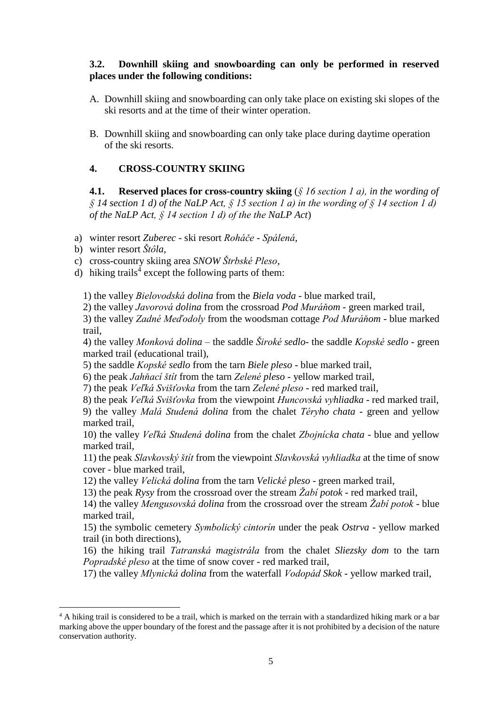### **3.2. Downhill skiing and snowboarding can only be performed in reserved places under the following conditions:**

- A. Downhill skiing and snowboarding can only take place on existing ski slopes of the ski resorts and at the time of their winter operation.
- B. Downhill skiing and snowboarding can only take place during daytime operation of the ski resorts.

## **4. CROSS-COUNTRY SKIING**

**4.1. Reserved places for cross-country skiing** (*§ 16 section 1 a), in the wording of § 14 section 1 d) of the NaLP Act, § 15 section 1 a) in the wording of § 14 section 1 d) of the NaLP Act, § 14 section 1 d) of the the NaLP Act*)

a) winter resort *Zuberec* - ski resort *Roháče - Spálená*,

b) winter resort *Štôla*,

c) cross-country skiing area *SNOW Štrbské Pleso*,

d) hiking trails<sup>4</sup> except the following parts of them:

1) the valley *Bielovodská dolina* from the *Biela voda* - blue marked trail,

2) the valley *Javorová dolina* from the crossroad *Pod Muráňom* - green marked trail,

3) the valley *Zadné Meďodoly* from the woodsman cottage *Pod Muráňom* - blue marked trail,

4) the valley *Monková dolina* – the saddle *Široké sedlo*- the saddle *Kopské sedlo* - green marked trail (educational trail),

5) the saddle *Kopské sedlo* from the tarn *Biele pleso* - blue marked trail,

6) the peak *Jahňací štít* from the tarn *Zelené pleso* - yellow marked trail,

7) the peak *Veľká Svišťovka* from the tarn *Zelené pleso* - red marked trail,

8) the peak *Veľká Svišťovka* from the viewpoint *Huncovská vyhliadka* - red marked trail, 9) the valley *Malá Studená dolina* from the chalet *Téryho chata* - green and yellow marked trail,

10) the valley *Veľká Studená dolina* from the chalet *Zbojnícka chata* - blue and yellow marked trail,

11) the peak *Slavkovský štít* from the viewpoint *Slavkovská vyhliadka* at the time of snow cover - blue marked trail,

12) the valley *Velická dolina* from the tarn *Velické pleso* - green marked trail,

13) the peak *Rysy* from the crossroad over the stream *Žabí potok* - red marked trail,

14) the valley *Mengusovská dolina* from the crossroad over the stream *Žabí potok* - blue marked trail,

15) the symbolic cemetery *Symbolický cintorín* under the peak *Ostrva* - yellow marked trail (in both directions),

16) the hiking trail *Tatranská magistrála* from the chalet *Sliezsky dom* to the tarn *Popradské pleso* at the time of snow cover - red marked trail,

17) the valley *Mlynická dolina* from the waterfall *Vodopád Skok* - yellow marked trail,

<sup>1</sup> <sup>4</sup> A hiking trail is considered to be a trail, which is marked on the terrain with a standardized hiking mark or a bar marking above the upper boundary of the forest and the passage after it is not prohibited by a decision of the nature conservation authority.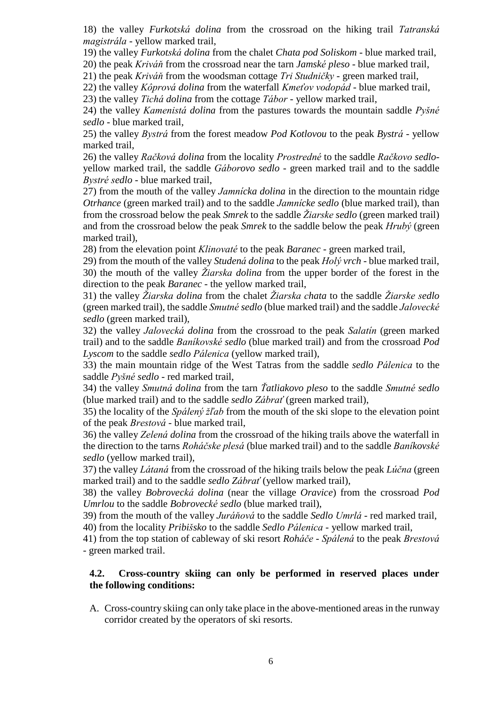18) the valley *Furkotská dolina* from the crossroad on the hiking trail *Tatranská magistrála* - yellow marked trail,

19) the valley *Furkotská dolina* from the chalet *Chata pod Soliskom* - blue marked trail,

20) the peak *Kriváň* from the crossroad near the tarn *Jamské pleso* - blue marked trail,

21) the peak *Kriváň* from the woodsman cottage *Tri Studničky* - green marked trail,

22) the valley *Kôprová dolina* from the waterfall *Kmeťov vodopád* - blue marked trail,

23) the valley *Tichá dolina* from the cottage *Tábor* - yellow marked trail,

24) the valley *Kamenistá dolina* from the pastures towards the mountain saddle *Pyšné sedlo* - blue marked trail,

25) the valley *Bystrá* from the forest meadow *Pod Kotlovou* to the peak *Bystrá* - yellow marked trail,

26) the valley *Račková dolina* from the locality *Prostredné* to the saddle *Račkovo sedlo*yellow marked trail, the saddle *Gáborovo sedlo* - green marked trail and to the saddle *Bystré sedlo* - blue marked trail,

27) from the mouth of the valley *Jamnícka dolina* in the direction to the mountain ridge *Otrhance* (green marked trail) and to the saddle *Jamnícke sedlo* (blue marked trail), than from the crossroad below the peak *Smrek* to the saddle *Žiarske sedlo* (green marked trail) and from the crossroad below the peak *Smrek* to the saddle below the peak *Hrubý* (green marked trail),

28) from the elevation point *Klinovaté* to the peak *Baranec* - green marked trail,

29) from the mouth of the valley *Studená dolina* to the peak *Holý vrch* - blue marked trail, 30) the mouth of the valley *Žiarska dolina* from the upper border of the forest in the direction to the peak *Baranec* - the yellow marked trail,

31) the valley *Žiarska dolina* from the chalet *Žiarska chata* to the saddle *Žiarske sedlo* (green marked trail), the saddle *Smutné sedlo* (blue marked trail) and the saddle *Jalovecké sedlo* (green marked trail),

32) the valley *Jalovecká dolina* from the crossroad to the peak *Salatín* (green marked trail) and to the saddle *Baníkovské sedlo* (blue marked trail) and from the crossroad *Pod Lyscom* to the saddle *sedlo Pálenica* (yellow marked trail),

33) the main mountain ridge of the West Tatras from the saddle *sedlo Pálenica* to the saddle *Pyšné sedlo* - red marked trail,

34) the valley *Smutná dolina* from the tarn *Ťatliakovo pleso* to the saddle *Smutné sedlo* (blue marked trail) and to the saddle *sedlo Zábrať* (green marked trail),

35) the locality of the *Spálený žľab* from the mouth of the ski slope to the elevation point of the peak *Brestová* - blue marked trail,

36) the valley *Zelená dolina* from the crossroad of the hiking trails above the waterfall in the direction to the tarns *Roháčske plesá* (blue marked trail) and to the saddle *Baníkovské sedlo* (yellow marked trail),

37) the valley *Látaná* from the crossroad of the hiking trails below the peak *Lúčna* (green marked trail) and to the saddle *sedlo Zábrať* (yellow marked trail),

38) the valley *Bobrovecká dolina* (near the village *Oravice*) from the crossroad *Pod Umrlou* to the saddle *Bobrovecké sedlo* (blue marked trail),

39) from the mouth of the valley *Juráňová* to the saddle *Sedlo Umrlá* - red marked trail,

40) from the locality *Pribišsko* to the saddle *Sedlo Pálenica* - yellow marked trail,

41) from the top station of cableway of ski resort *Roháče - Spálená* to the peak *Brestová* - green marked trail.

#### **4.2. Cross-country skiing can only be performed in reserved places under the following conditions:**

A. Cross-country skiing can only take place in the above-mentioned areas in the runway corridor created by the operators of ski resorts.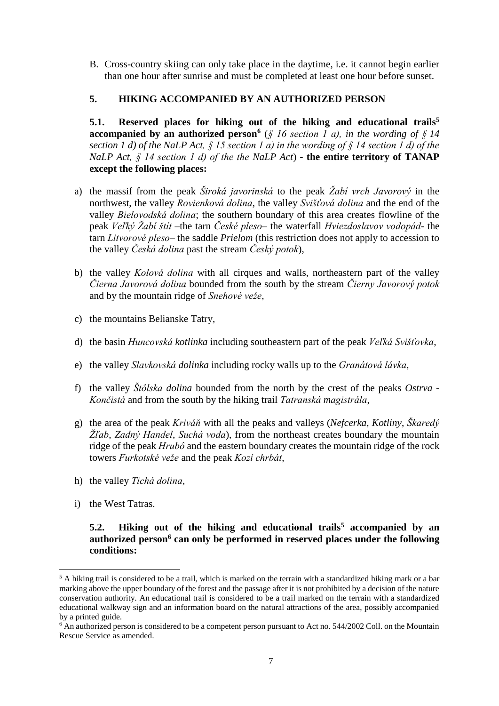B. Cross-country skiing can only take place in the daytime, i.e. it cannot begin earlier than one hour after sunrise and must be completed at least one hour before sunset.

## **5. HIKING ACCOMPANIED BY AN AUTHORIZED PERSON**

**5.1. Reserved places for hiking out of the hiking and educational trails<sup>5</sup> accompanied by an authorized person<sup>6</sup>** (*§ 16 section 1 a), in the wording of § 14 section 1 d) of the NaLP Act, § 15 section 1 a) in the wording of § 14 section 1 d) of the NaLP Act, § 14 section 1 d) of the the NaLP Act*) *-* **the entire territory of TANAP except the following places:**

- a) the massif from the peak *Široká javorinská* to the peak *Žabí vrch Javorový* in the northwest, the valley *Rovienková dolina*, the valley *Svišťová dolina* and the end of the valley *Bielovodská dolina*; the southern boundary of this area creates flowline of the peak *Veľký Žabí štít* –the tarn *České pleso*– the waterfall *Hviezdoslavov vodopád*- the tarn *Litvorové pleso*– the saddle *Prielom* (this restriction does not apply to accession to the valley *Česká dolina* past the stream *Český potok*),
- b) the valley *Kolová dolina* with all cirques and walls, northeastern part of the valley *Čierna Javorová dolina* bounded from the south by the stream *Čierny Javorový potok* and by the mountain ridge of *Snehové veže*,
- c) the mountains Belianske Tatry,
- d) the basin *Huncovská kotlinka* including southeastern part of the peak *Veľká Svišťovka*,
- e) the valley *Slavkovská dolinka* including rocky walls up to the *Granátová lávka*,
- f) the valley *Štôlska dolina* bounded from the north by the crest of the peaks *Ostrva Končistá* and from the south by the hiking trail *Tatranská magistrála*,
- g) the area of the peak *Kriváň* with all the peaks and valleys (*Nefcerka*, *Kotliny*, *Škaredý Žľab*, *Zadný Handel*, *Suchá voda*), from the northeast creates boundary the mountain ridge of the peak *Hrubô* and the eastern boundary creates the mountain ridge of the rock towers *Furkotské veže* and the peak *Kozí chrbát*,
- h) the valley *Tichá dolina*,
- i) the West Tatras.

<u>.</u>

### **5.2. Hiking out of the hiking and educational trails<sup>5</sup> accompanied by an authorized person<sup>6</sup> can only be performed in reserved places under the following conditions:**

<sup>&</sup>lt;sup>5</sup> A hiking trail is considered to be a trail, which is marked on the terrain with a standardized hiking mark or a bar marking above the upper boundary of the forest and the passage after it is not prohibited by a decision of the nature conservation authority. An educational trail is considered to be a trail marked on the terrain with a standardized educational walkway sign and an information board on the natural attractions of the area, possibly accompanied by a printed guide.

 $6$  An authorized person is considered to be a competent person pursuant to Act no. 544/2002 Coll. on the Mountain Rescue Service as amended.